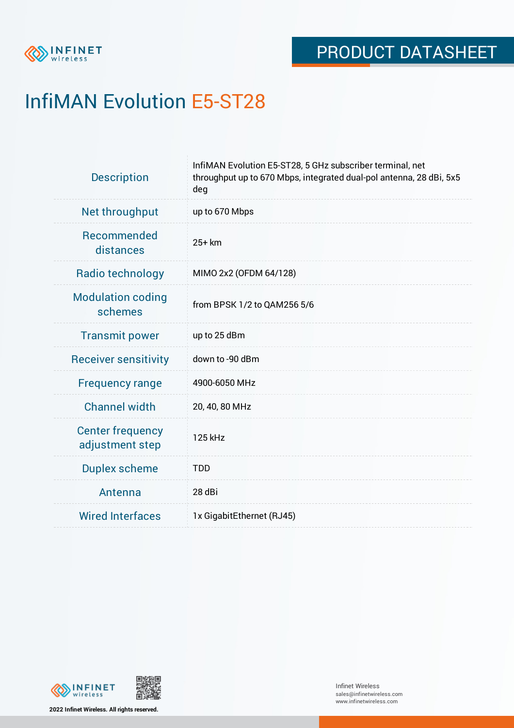

# InfiMAN Evolution E5-ST28

| <b>Description</b>                         | InfiMAN Evolution E5-ST28, 5 GHz subscriber terminal, net<br>throughput up to 670 Mbps, integrated dual-pol antenna, 28 dBi, 5x5<br>deg |  |  |  |
|--------------------------------------------|-----------------------------------------------------------------------------------------------------------------------------------------|--|--|--|
| Net throughput                             | up to 670 Mbps                                                                                                                          |  |  |  |
| Recommended<br>distances                   | 25+ km                                                                                                                                  |  |  |  |
| Radio technology                           | MIMO 2x2 (OFDM 64/128)                                                                                                                  |  |  |  |
| <b>Modulation coding</b><br>schemes        | from BPSK 1/2 to QAM256 5/6                                                                                                             |  |  |  |
| <b>Transmit power</b>                      | up to 25 dBm                                                                                                                            |  |  |  |
| <b>Receiver sensitivity</b>                | down to -90 dBm                                                                                                                         |  |  |  |
| <b>Frequency range</b>                     | 4900-6050 MHz                                                                                                                           |  |  |  |
| <b>Channel width</b>                       | 20, 40, 80 MHz                                                                                                                          |  |  |  |
| <b>Center frequency</b><br>adjustment step | 125 kHz                                                                                                                                 |  |  |  |
| <b>Duplex scheme</b>                       | <b>TDD</b>                                                                                                                              |  |  |  |
| Antenna                                    | 28 dBi                                                                                                                                  |  |  |  |
| <b>Wired Interfaces</b>                    | 1x GigabitEthernet (RJ45)                                                                                                               |  |  |  |



**2022 Infinet Wireless. All rights reserved.**

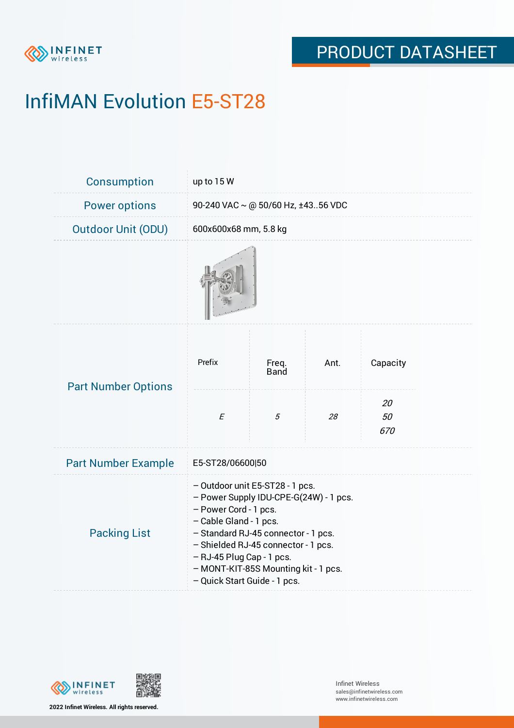

# InfiMAN Evolution E5-ST28

| Consumption                | up to 15 W                                                                                                                                                                                                                                                                                                      |                      |      |                 |  |  |
|----------------------------|-----------------------------------------------------------------------------------------------------------------------------------------------------------------------------------------------------------------------------------------------------------------------------------------------------------------|----------------------|------|-----------------|--|--|
| <b>Power options</b>       | 90-240 VAC ~ @ 50/60 Hz, ±4356 VDC                                                                                                                                                                                                                                                                              |                      |      |                 |  |  |
| <b>Outdoor Unit (ODU)</b>  | 600x600x68 mm, 5.8 kg                                                                                                                                                                                                                                                                                           |                      |      |                 |  |  |
|                            |                                                                                                                                                                                                                                                                                                                 |                      |      |                 |  |  |
| <b>Part Number Options</b> | Prefix                                                                                                                                                                                                                                                                                                          | Freq.<br><b>Band</b> | Ant. | Capacity        |  |  |
|                            | $\cal E$                                                                                                                                                                                                                                                                                                        | 5                    | 28   | 20<br>50<br>670 |  |  |
| <b>Part Number Example</b> | E5-ST28/06600 50                                                                                                                                                                                                                                                                                                |                      |      |                 |  |  |
| <b>Packing List</b>        | - Outdoor unit E5-ST28 - 1 pcs.<br>- Power Supply IDU-CPE-G(24W) - 1 pcs.<br>- Power Cord - 1 pcs.<br>- Cable Gland - 1 pcs.<br>- Standard RJ-45 connector - 1 pcs.<br>- Shielded RJ-45 connector - 1 pcs.<br>- RJ-45 Plug Cap - 1 pcs.<br>- MONT-KIT-85S Mounting kit - 1 pcs.<br>- Quick Start Guide - 1 pcs. |                      |      |                 |  |  |



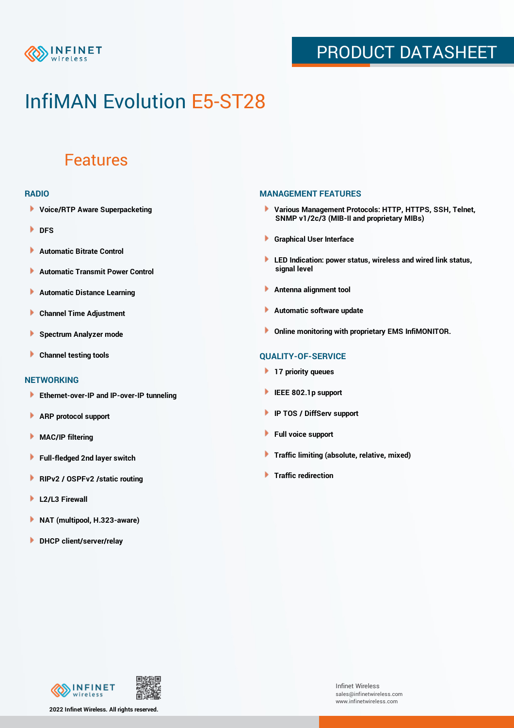

### PRODUCT DATASHEET

## InfiMAN Evolution E5-ST28

### Features

#### **RADIO**

- **Voice/RTP Aware Superpacketing**
- **DFS**
- **Automatic Bitrate Control** Þ
- Þ **Automatic Transmit Power Control**
- Þ **Automatic Distance Learning**
- Þ **Channel Time Adjustment**
- Þ **Spectrum Analyzer mode**
- Þ **Channel testing tools**

### **NETWORKING**

- **Ethernet-over-IP and IP-over-IP tunneling**
- Þ **ARP protocol support**
- **MAC/IP filtering** Þ
- **Full-fledged 2nd layer switch**
- Þ **RIPv2 / OSPFv2 /static routing**
- ٠ **L2/L3 Firewall**
- × **NAT (multipool, H.323-aware)**
- **DHCP client/server/relay**

#### **MANAGEMENT FEATURES**

- **Various Management Protocols: HTTP, HTTPS, SSH, Telnet, SNMP v1/2c/3 (MIB-II and proprietary MIBs)**
- **Graphical User Interface**
- **LED Indication: power status, wireless and wired link status, signal level**
- **Antenna alignment tool**
- ٠ **Automatic software update**
- **Online monitoring with proprietary EMS InfiMONITOR.**

### **QUALITY-OF-SERVICE**

- **17 priority queues**
- **IEEE 802.1p support**
- **IP TOS / DiffServ support**
- ٠ **Full voice support**
- **Traffic limiting (absolute, relative, mixed)** ٠
- **Traffic redirection**



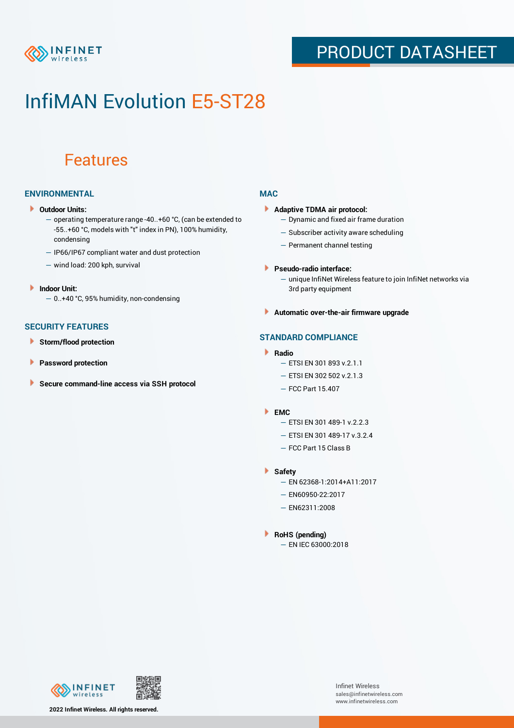

### PRODUCT DATASHEET

## InfiMAN Evolution E5-ST28

### Features

### **ENVIRONMENTAL**

- **Outdoor Units:**
	- operating temperature range -40..+60 °C, (can be extended to -55..+60 °С, models with "t" index in PN), 100% humidity, condensing
	- IP66/IP67 compliant water and dust protection
	- wind load: 200 kph, survival
- **Indoor Unit:**
	- 0..+40 °C, 95% humidity, non-condensing

### **SECURITY FEATURES**

- Þ **Storm/flood protection**
- ۱ **Password protection**
- **Secure command-line access via SSH protocol** Þ

#### **MAC**

- **Adaptive TDMA air protocol:**
	- Dynamic and fixed air frame duration
	- Subscriber activity aware scheduling
	- Permanent channel testing
- **Pseudo-radio interface:**
	- unique InfiNet Wireless feature to join InfiNet networks via 3rd party equipment
- **Automatic over-the-air firmware upgrade**

### **STANDARD COMPLIANCE**

- **Radio**
	- ETSI EN 301 893 v.2.1.1
	- ETSI EN 302 502 v.2.1.3
	- FCC Part 15.407

#### **EMC**

- ETSI EN 301 489-1 v.2.2.3
	- ETSI EN 301 489-17 v.3.2.4
	- FCC Part 15 Class B
- **Safety**
	- EN 62368-1:2014+A11:2017
	- EN60950-22:2017
	- EN62311:2008
- **RoHS (pending)**
	- EN IEC 63000:2018